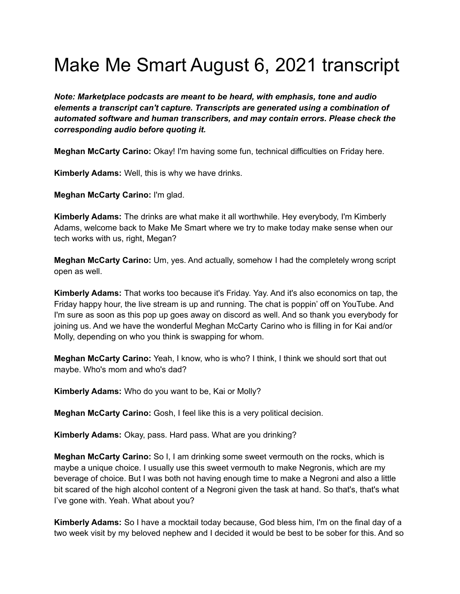# Make Me Smart August 6, 2021 transcript

*Note: Marketplace podcasts are meant to be heard, with emphasis, tone and audio elements a transcript can't capture. Transcripts are generated using a combination of automated software and human transcribers, and may contain errors. Please check the corresponding audio before quoting it.*

**Meghan McCarty Carino:** Okay! I'm having some fun, technical difficulties on Friday here.

**Kimberly Adams:** Well, this is why we have drinks.

**Meghan McCarty Carino:** I'm glad.

**Kimberly Adams:** The drinks are what make it all worthwhile. Hey everybody, I'm Kimberly Adams, welcome back to Make Me Smart where we try to make today make sense when our tech works with us, right, Megan?

**Meghan McCarty Carino:** Um, yes. And actually, somehow I had the completely wrong script open as well.

**Kimberly Adams:** That works too because it's Friday. Yay. And it's also economics on tap, the Friday happy hour, the live stream is up and running. The chat is poppin' off on YouTube. And I'm sure as soon as this pop up goes away on discord as well. And so thank you everybody for joining us. And we have the wonderful Meghan McCarty Carino who is filling in for Kai and/or Molly, depending on who you think is swapping for whom.

**Meghan McCarty Carino:** Yeah, I know, who is who? I think, I think we should sort that out maybe. Who's mom and who's dad?

**Kimberly Adams:** Who do you want to be, Kai or Molly?

**Meghan McCarty Carino:** Gosh, I feel like this is a very political decision.

**Kimberly Adams:** Okay, pass. Hard pass. What are you drinking?

**Meghan McCarty Carino:** So I, I am drinking some sweet vermouth on the rocks, which is maybe a unique choice. I usually use this sweet vermouth to make Negronis, which are my beverage of choice. But I was both not having enough time to make a Negroni and also a little bit scared of the high alcohol content of a Negroni given the task at hand. So that's, that's what I've gone with. Yeah. What about you?

**Kimberly Adams:** So I have a mocktail today because, God bless him, I'm on the final day of a two week visit by my beloved nephew and I decided it would be best to be sober for this. And so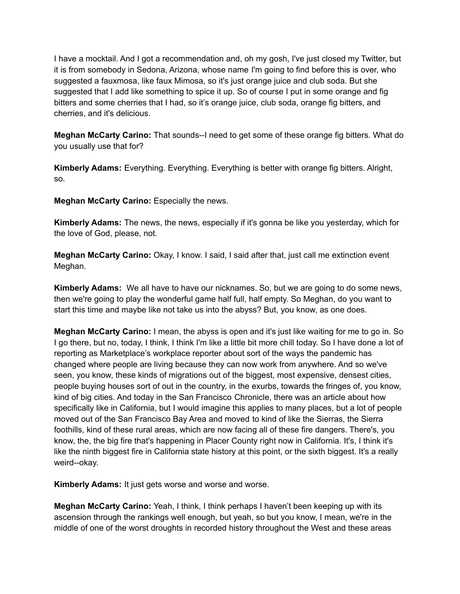I have a mocktail. And I got a recommendation and, oh my gosh, I've just closed my Twitter, but it is from somebody in Sedona, Arizona, whose name I'm going to find before this is over, who suggested a fauxmosa, like faux Mimosa, so it's just orange juice and club soda. But she suggested that I add like something to spice it up. So of course I put in some orange and fig bitters and some cherries that I had, so it's orange juice, club soda, orange fig bitters, and cherries, and it's delicious.

**Meghan McCarty Carino:** That sounds--I need to get some of these orange fig bitters. What do you usually use that for?

**Kimberly Adams:** Everything. Everything. Everything is better with orange fig bitters. Alright, so.

**Meghan McCarty Carino:** Especially the news.

**Kimberly Adams:** The news, the news, especially if it's gonna be like you yesterday, which for the love of God, please, not.

**Meghan McCarty Carino:** Okay, I know. I said, I said after that, just call me extinction event Meghan.

**Kimberly Adams:** We all have to have our nicknames. So, but we are going to do some news, then we're going to play the wonderful game half full, half empty. So Meghan, do you want to start this time and maybe like not take us into the abyss? But, you know, as one does.

**Meghan McCarty Carino:** I mean, the abyss is open and it's just like waiting for me to go in. So I go there, but no, today, I think, I think I'm like a little bit more chill today. So I have done a lot of reporting as Marketplace's workplace reporter about sort of the ways the pandemic has changed where people are living because they can now work from anywhere. And so we've seen, you know, these kinds of migrations out of the biggest, most expensive, densest cities, people buying houses sort of out in the country, in the exurbs, towards the fringes of, you know, kind of big cities. And today in the San Francisco Chronicle, there was an article about how specifically like in California, but I would imagine this applies to many places, but a lot of people moved out of the San Francisco Bay Area and moved to kind of like the Sierras, the Sierra foothills, kind of these rural areas, which are now facing all of these fire dangers. There's, you know, the, the big fire that's happening in Placer County right now in California. It's, I think it's like the ninth biggest fire in California state history at this point, or the sixth biggest. It's a really weird--okay.

**Kimberly Adams:** It just gets worse and worse and worse.

**Meghan McCarty Carino:** Yeah, I think, I think perhaps I haven't been keeping up with its ascension through the rankings well enough, but yeah, so but you know, I mean, we're in the middle of one of the worst droughts in recorded history throughout the West and these areas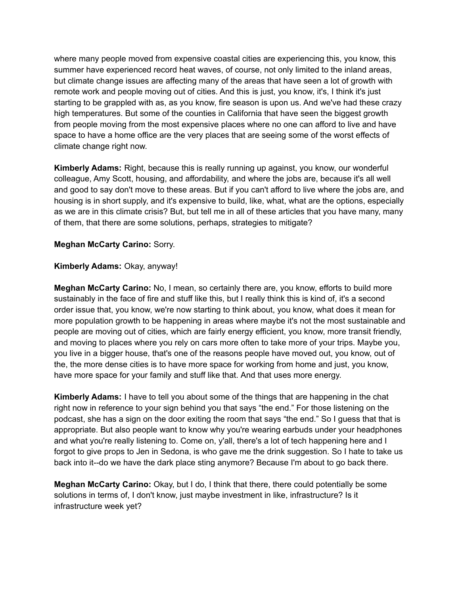where many people moved from expensive coastal cities are experiencing this, you know, this summer have experienced record heat waves, of course, not only limited to the inland areas, but climate change issues are affecting many of the areas that have seen a lot of growth with remote work and people moving out of cities. And this is just, you know, it's, I think it's just starting to be grappled with as, as you know, fire season is upon us. And we've had these crazy high temperatures. But some of the counties in California that have seen the biggest growth from people moving from the most expensive places where no one can afford to live and have space to have a home office are the very places that are seeing some of the worst effects of climate change right now.

**Kimberly Adams:** Right, because this is really running up against, you know, our wonderful colleague, Amy Scott, housing, and affordability, and where the jobs are, because it's all well and good to say don't move to these areas. But if you can't afford to live where the jobs are, and housing is in short supply, and it's expensive to build, like, what, what are the options, especially as we are in this climate crisis? But, but tell me in all of these articles that you have many, many of them, that there are some solutions, perhaps, strategies to mitigate?

## **Meghan McCarty Carino:** Sorry.

### **Kimberly Adams:** Okay, anyway!

**Meghan McCarty Carino:** No, I mean, so certainly there are, you know, efforts to build more sustainably in the face of fire and stuff like this, but I really think this is kind of, it's a second order issue that, you know, we're now starting to think about, you know, what does it mean for more population growth to be happening in areas where maybe it's not the most sustainable and people are moving out of cities, which are fairly energy efficient, you know, more transit friendly, and moving to places where you rely on cars more often to take more of your trips. Maybe you, you live in a bigger house, that's one of the reasons people have moved out, you know, out of the, the more dense cities is to have more space for working from home and just, you know, have more space for your family and stuff like that. And that uses more energy.

**Kimberly Adams:** I have to tell you about some of the things that are happening in the chat right now in reference to your sign behind you that says "the end." For those listening on the podcast, she has a sign on the door exiting the room that says "the end." So I guess that that is appropriate. But also people want to know why you're wearing earbuds under your headphones and what you're really listening to. Come on, y'all, there's a lot of tech happening here and I forgot to give props to Jen in Sedona, is who gave me the drink suggestion. So I hate to take us back into it--do we have the dark place sting anymore? Because I'm about to go back there.

**Meghan McCarty Carino:** Okay, but I do, I think that there, there could potentially be some solutions in terms of, I don't know, just maybe investment in like, infrastructure? Is it infrastructure week yet?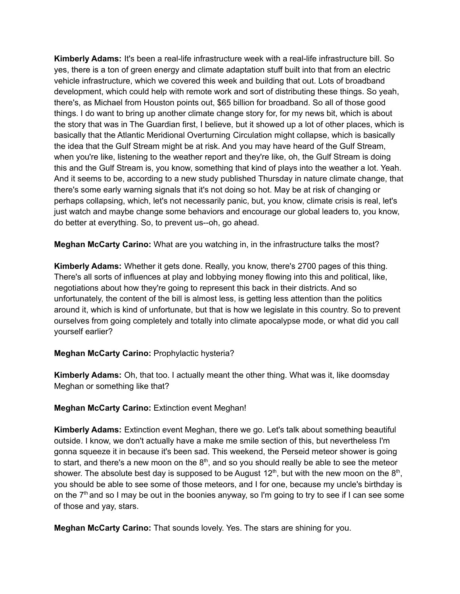**Kimberly Adams:** It's been a real-life infrastructure week with a real-life infrastructure bill. So yes, there is a ton of green energy and climate adaptation stuff built into that from an electric vehicle infrastructure, which we covered this week and building that out. Lots of broadband development, which could help with remote work and sort of distributing these things. So yeah, there's, as Michael from Houston points out, \$65 billion for broadband. So all of those good things. I do want to bring up another climate change story for, for my news bit, which is about the story that was in The Guardian first, I believe, but it showed up a lot of other places, which is basically that the Atlantic Meridional Overturning Circulation might collapse, which is basically the idea that the Gulf Stream might be at risk. And you may have heard of the Gulf Stream, when you're like, listening to the weather report and they're like, oh, the Gulf Stream is doing this and the Gulf Stream is, you know, something that kind of plays into the weather a lot. Yeah. And it seems to be, according to a new study published Thursday in nature climate change, that there's some early warning signals that it's not doing so hot. May be at risk of changing or perhaps collapsing, which, let's not necessarily panic, but, you know, climate crisis is real, let's just watch and maybe change some behaviors and encourage our global leaders to, you know, do better at everything. So, to prevent us--oh, go ahead.

**Meghan McCarty Carino:** What are you watching in, in the infrastructure talks the most?

**Kimberly Adams:** Whether it gets done. Really, you know, there's 2700 pages of this thing. There's all sorts of influences at play and lobbying money flowing into this and political, like, negotiations about how they're going to represent this back in their districts. And so unfortunately, the content of the bill is almost less, is getting less attention than the politics around it, which is kind of unfortunate, but that is how we legislate in this country. So to prevent ourselves from going completely and totally into climate apocalypse mode, or what did you call yourself earlier?

## **Meghan McCarty Carino:** Prophylactic hysteria?

**Kimberly Adams:** Oh, that too. I actually meant the other thing. What was it, like doomsday Meghan or something like that?

### **Meghan McCarty Carino:** Extinction event Meghan!

**Kimberly Adams:** Extinction event Meghan, there we go. Let's talk about something beautiful outside. I know, we don't actually have a make me smile section of this, but nevertheless I'm gonna squeeze it in because it's been sad. This weekend, the Perseid meteor shower is going to start, and there's a new moon on the  $8<sup>th</sup>$ , and so you should really be able to see the meteor shower. The absolute best day is supposed to be August 12<sup>th</sup>, but with the new moon on the 8<sup>th</sup>, you should be able to see some of those meteors, and I for one, because my uncle's birthday is on the  $7<sup>th</sup>$  and so I may be out in the boonies anyway, so I'm going to try to see if I can see some of those and yay, stars.

**Meghan McCarty Carino:** That sounds lovely. Yes. The stars are shining for you.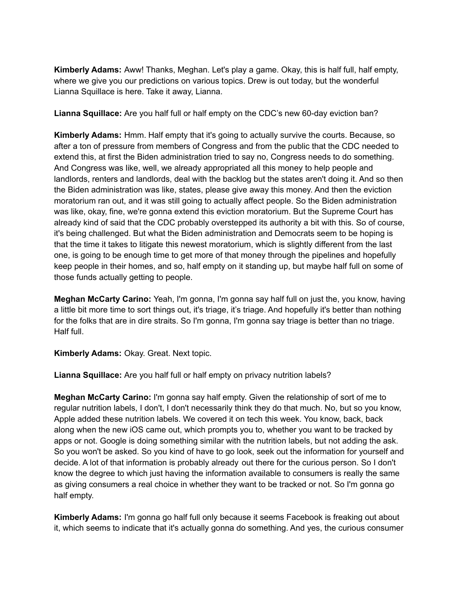**Kimberly Adams:** Aww! Thanks, Meghan. Let's play a game. Okay, this is half full, half empty, where we give you our predictions on various topics. Drew is out today, but the wonderful Lianna Squillace is here. Take it away, Lianna.

**Lianna Squillace:** Are you half full or half empty on the CDC's new 60-day eviction ban?

**Kimberly Adams:** Hmm. Half empty that it's going to actually survive the courts. Because, so after a ton of pressure from members of Congress and from the public that the CDC needed to extend this, at first the Biden administration tried to say no, Congress needs to do something. And Congress was like, well, we already appropriated all this money to help people and landlords, renters and landlords, deal with the backlog but the states aren't doing it. And so then the Biden administration was like, states, please give away this money. And then the eviction moratorium ran out, and it was still going to actually affect people. So the Biden administration was like, okay, fine, we're gonna extend this eviction moratorium. But the Supreme Court has already kind of said that the CDC probably overstepped its authority a bit with this. So of course, it's being challenged. But what the Biden administration and Democrats seem to be hoping is that the time it takes to litigate this newest moratorium, which is slightly different from the last one, is going to be enough time to get more of that money through the pipelines and hopefully keep people in their homes, and so, half empty on it standing up, but maybe half full on some of those funds actually getting to people.

**Meghan McCarty Carino:** Yeah, I'm gonna, I'm gonna say half full on just the, you know, having a little bit more time to sort things out, it's triage, it's triage. And hopefully it's better than nothing for the folks that are in dire straits. So I'm gonna, I'm gonna say triage is better than no triage. Half full.

**Kimberly Adams:** Okay. Great. Next topic.

**Lianna Squillace:** Are you half full or half empty on privacy nutrition labels?

**Meghan McCarty Carino:** I'm gonna say half empty. Given the relationship of sort of me to regular nutrition labels, I don't, I don't necessarily think they do that much. No, but so you know, Apple added these nutrition labels. We covered it on tech this week. You know, back, back along when the new iOS came out, which prompts you to, whether you want to be tracked by apps or not. Google is doing something similar with the nutrition labels, but not adding the ask. So you won't be asked. So you kind of have to go look, seek out the information for yourself and decide. A lot of that information is probably already out there for the curious person. So I don't know the degree to which just having the information available to consumers is really the same as giving consumers a real choice in whether they want to be tracked or not. So I'm gonna go half empty.

**Kimberly Adams:** I'm gonna go half full only because it seems Facebook is freaking out about it, which seems to indicate that it's actually gonna do something. And yes, the curious consumer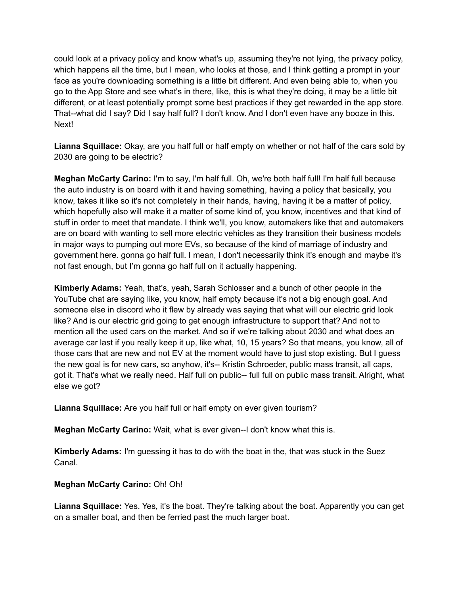could look at a privacy policy and know what's up, assuming they're not lying, the privacy policy, which happens all the time, but I mean, who looks at those, and I think getting a prompt in your face as you're downloading something is a little bit different. And even being able to, when you go to the App Store and see what's in there, like, this is what they're doing, it may be a little bit different, or at least potentially prompt some best practices if they get rewarded in the app store. That--what did I say? Did I say half full? I don't know. And I don't even have any booze in this. Next!

**Lianna Squillace:** Okay, are you half full or half empty on whether or not half of the cars sold by 2030 are going to be electric?

**Meghan McCarty Carino:** I'm to say, I'm half full. Oh, we're both half full! I'm half full because the auto industry is on board with it and having something, having a policy that basically, you know, takes it like so it's not completely in their hands, having, having it be a matter of policy, which hopefully also will make it a matter of some kind of, you know, incentives and that kind of stuff in order to meet that mandate. I think we'll, you know, automakers like that and automakers are on board with wanting to sell more electric vehicles as they transition their business models in major ways to pumping out more EVs, so because of the kind of marriage of industry and government here. gonna go half full. I mean, I don't necessarily think it's enough and maybe it's not fast enough, but I'm gonna go half full on it actually happening.

**Kimberly Adams:** Yeah, that's, yeah, Sarah Schlosser and a bunch of other people in the YouTube chat are saying like, you know, half empty because it's not a big enough goal. And someone else in discord who it flew by already was saying that what will our electric grid look like? And is our electric grid going to get enough infrastructure to support that? And not to mention all the used cars on the market. And so if we're talking about 2030 and what does an average car last if you really keep it up, like what, 10, 15 years? So that means, you know, all of those cars that are new and not EV at the moment would have to just stop existing. But I guess the new goal is for new cars, so anyhow, it's-- Kristin Schroeder, public mass transit, all caps, got it. That's what we really need. Half full on public-- full full on public mass transit. Alright, what else we got?

**Lianna Squillace:** Are you half full or half empty on ever given tourism?

**Meghan McCarty Carino:** Wait, what is ever given--I don't know what this is.

**Kimberly Adams:** I'm guessing it has to do with the boat in the, that was stuck in the Suez Canal.

## **Meghan McCarty Carino:** Oh! Oh!

**Lianna Squillace:** Yes. Yes, it's the boat. They're talking about the boat. Apparently you can get on a smaller boat, and then be ferried past the much larger boat.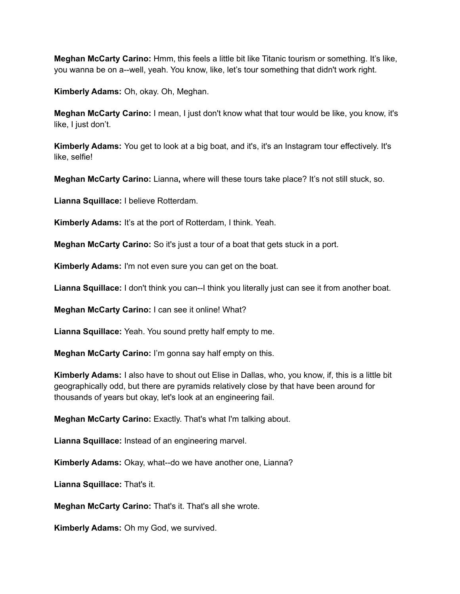**Meghan McCarty Carino:** Hmm, this feels a little bit like Titanic tourism or something. It's like, you wanna be on a--well, yeah. You know, like, let's tour something that didn't work right.

**Kimberly Adams:** Oh, okay. Oh, Meghan.

**Meghan McCarty Carino:** I mean, I just don't know what that tour would be like, you know, it's like, I just don't.

**Kimberly Adams:** You get to look at a big boat, and it's, it's an Instagram tour effectively. It's like, selfie!

**Meghan McCarty Carino:** Lianna**,** where will these tours take place? It's not still stuck, so.

**Lianna Squillace:** I believe Rotterdam.

**Kimberly Adams:** It's at the port of Rotterdam, I think. Yeah.

**Meghan McCarty Carino:** So it's just a tour of a boat that gets stuck in a port.

**Kimberly Adams:** I'm not even sure you can get on the boat.

**Lianna Squillace:** I don't think you can--I think you literally just can see it from another boat.

**Meghan McCarty Carino:** I can see it online! What?

**Lianna Squillace:** Yeah. You sound pretty half empty to me.

**Meghan McCarty Carino:** I'm gonna say half empty on this.

**Kimberly Adams:** I also have to shout out Elise in Dallas, who, you know, if, this is a little bit geographically odd, but there are pyramids relatively close by that have been around for thousands of years but okay, let's look at an engineering fail.

**Meghan McCarty Carino:** Exactly. That's what I'm talking about.

**Lianna Squillace:** Instead of an engineering marvel.

**Kimberly Adams:** Okay, what--do we have another one, Lianna?

**Lianna Squillace:** That's it.

**Meghan McCarty Carino:** That's it. That's all she wrote.

**Kimberly Adams:** Oh my God, we survived.